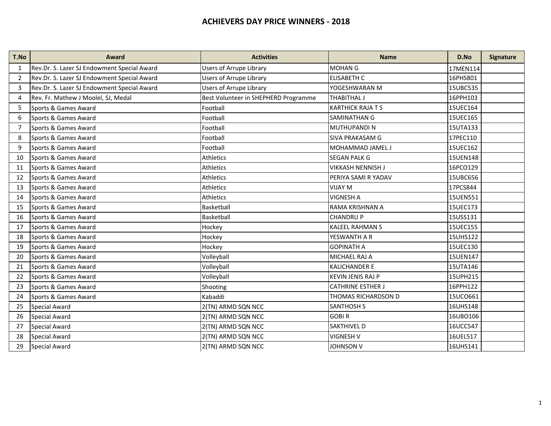| T.No           | <b>Award</b>                                | <b>Activities</b>                    | <b>Name</b>              | D.No     | <b>Signature</b> |
|----------------|---------------------------------------------|--------------------------------------|--------------------------|----------|------------------|
| $\mathbf{1}$   | Rev.Dr. S. Lazer SJ Endowment Special Award | <b>Users of Arrupe Library</b>       | <b>MOHAN G</b>           | 17MEN114 |                  |
| 2              | Rev.Dr. S. Lazer SJ Endowment Special Award | <b>Users of Arrupe Library</b>       | <b>ELISABETH C</b>       | 16PHS801 |                  |
| 3              | Rev.Dr. S. Lazer SJ Endowment Special Award | <b>Users of Arrupe Library</b>       | YOGESHWARAN M            | 15UBC535 |                  |
| 4              | Rev. Fr. Mathew J Moolel, SJ, Medal         | Best Volunteer in SHEPHERD Programme | THABITHAL J              | 16PPH103 |                  |
| 5              | Sports & Games Award                        | Football                             | <b>KARTHICK RAJA T S</b> | 15UEC164 |                  |
| 6              | Sports & Games Award                        | Football                             | <b>SAMINATHAN G</b>      | 15UEC165 |                  |
| $\overline{7}$ | Sports & Games Award                        | Football                             | MUTHUPANDI N             | 15UTA133 |                  |
| 8              | Sports & Games Award                        | Football                             | <b>SIVA PRAKASAM G</b>   | 17PEC110 |                  |
| 9              | Sports & Games Award                        | Football                             | MOHAMMAD JAMEL J         | 15UEC162 |                  |
| 10             | Sports & Games Award                        | Athletics                            | <b>SEGAN PALK G</b>      | 15UEN148 |                  |
| 11             | Sports & Games Award                        | <b>Athletics</b>                     | <b>VIKKASH NENNISH J</b> | 16PCO129 |                  |
| 12             | Sports & Games Award                        | <b>Athletics</b>                     | PERIYA SAMI R YADAV      | 15UBC656 |                  |
| 13             | Sports & Games Award                        | Athletics                            | <b>VIJAY M</b>           | 17PCS844 |                  |
| 14             | Sports & Games Award                        | Athletics                            | <b>VIGNESH A</b>         | 15UEN551 |                  |
| 15             | Sports & Games Award                        | Basketball                           | RAMA KRISHNAN A          | 15UEC173 |                  |
| 16             | Sports & Games Award                        | Basketball                           | <b>CHANDRUP</b>          | 15USS131 |                  |
| 17             | Sports & Games Award                        | Hockey                               | <b>KALEEL RAHMAN S</b>   | 15UEC155 |                  |
| 18             | Sports & Games Award                        | Hockey                               | YESWANTH A R             | 15UHS122 |                  |
| 19             | Sports & Games Award                        | Hockey                               | <b>GOPINATH A</b>        | 15UEC130 |                  |
| 20             | Sports & Games Award                        | Volleyball                           | <b>MICHAEL RAJ A</b>     | 15UEN147 |                  |
| 21             | Sports & Games Award                        | Volleyball                           | <b>KALICHANDER E</b>     | 15UTA146 |                  |
| 22             | Sports & Games Award                        | Volleyball                           | <b>KEVIN JENIS RAJ P</b> | 15UPH215 |                  |
| 23             | Sports & Games Award                        | Shooting                             | <b>CATHRINE ESTHER J</b> | 16PPH122 |                  |
| 24             | Sports & Games Award                        | Kabaddi                              | THOMAS RICHARDSON D      | 15UCO661 |                  |
| 25             | <b>Special Award</b>                        | 2(TN) ARMD SQN NCC                   | <b>SANTHOSH S</b>        | 16UHS148 |                  |
| 26             | <b>Special Award</b>                        | 2(TN) ARMD SQN NCC                   | <b>GOBIR</b>             | 16UBO106 |                  |
| 27             | <b>Special Award</b>                        | 2(TN) ARMD SQN NCC                   | <b>SAKTHIVEL D</b>       | 16UCC547 |                  |
| 28             | <b>Special Award</b>                        | 2(TN) ARMD SQN NCC                   | <b>VIGNESH V</b>         | 16UEL517 |                  |
| 29             | <b>Special Award</b>                        | 2(TN) ARMD SQN NCC                   | <b>JOHNSON V</b>         | 16UHS141 |                  |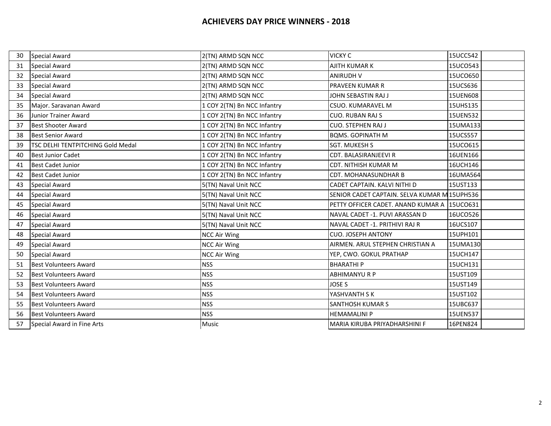| 30 | <b>Special Award</b>              | 2(TN) ARMD SQN NCC          | <b>VICKY C</b>                               | 15UCC542 |
|----|-----------------------------------|-----------------------------|----------------------------------------------|----------|
| 31 | <b>Special Award</b>              | 2(TN) ARMD SQN NCC          | AJITH KUMAR K                                | 15UCO543 |
| 32 | <b>Special Award</b>              | 2(TN) ARMD SQN NCC          | <b>ANIRUDH V</b>                             | 15UCO650 |
| 33 | <b>Special Award</b>              | 2(TN) ARMD SQN NCC          | <b>PRAVEEN KUMAR R</b>                       | 15UCS636 |
| 34 | <b>Special Award</b>              | 2(TN) ARMD SQN NCC          | JOHN SEBASTIN RAJ J                          | 15UEN608 |
| 35 | Major. Saravanan Award            | 1 COY 2(TN) Bn NCC Infantry | <b>CSUO. KUMARAVEL M</b>                     | 15UHS135 |
| 36 | Junior Trainer Award              | 1 COY 2(TN) Bn NCC Infantry | <b>CUO. RUBAN RAJ S</b>                      | 15UEN532 |
| 37 | <b>Best Shooter Award</b>         | 1 COY 2(TN) Bn NCC Infantry | <b>CUO. STEPHEN RAJ J</b>                    | 15UMA133 |
| 38 | <b>Best Senior Award</b>          | 1 COY 2(TN) Bn NCC Infantry | <b>BQMS. GOPINATH M</b>                      | 15UCS557 |
| 39 | TSC DELHI TENTPITCHING Gold Medal | 1 COY 2(TN) Bn NCC Infantry | <b>SGT. MUKESH S</b>                         | 15UCO615 |
| 40 | <b>Best Junior Cadet</b>          | 1 COY 2(TN) Bn NCC Infantry | <b>CDT. BALASIRANJEEVI R</b>                 | 16UEN166 |
| 41 | <b>Best Cadet Junior</b>          | 1 COY 2(TN) Bn NCC Infantry | <b>CDT. NITHISH KUMAR M</b>                  | 16UCH146 |
| 42 | <b>Best Cadet Junior</b>          | 1 COY 2(TN) Bn NCC Infantry | <b>CDT. MOHANASUNDHAR B</b>                  | 16UMA564 |
| 43 | <b>Special Award</b>              | 5(TN) Naval Unit NCC        | CADET CAPTAIN. KALVI NITHI D                 | 15UST133 |
| 44 | <b>Special Award</b>              | 5(TN) Naval Unit NCC        | SENIOR CADET CAPTAIN. SELVA KUMAR M 15UPH536 |          |
| 45 | <b>Special Award</b>              | 5(TN) Naval Unit NCC        | PETTY OFFICER CADET. ANAND KUMAR A 15UCO631  |          |
| 46 | <b>Special Award</b>              | 5(TN) Naval Unit NCC        | NAVAL CADET -1. PUVI ARASSAN D               | 16UCO526 |
| 47 | <b>Special Award</b>              | 5(TN) Naval Unit NCC        | NAVAL CADET -1. PRITHIVI RAJ R               | 16UCS107 |
| 48 | <b>Special Award</b>              | <b>NCC Air Wing</b>         | <b>CUO. JOSEPH ANTONY</b>                    | 15UPH101 |
| 49 | <b>Special Award</b>              | <b>NCC Air Wing</b>         | AIRMEN. ARUL STEPHEN CHRISTIAN A             | 15UMA130 |
| 50 | <b>Special Award</b>              | <b>NCC Air Wing</b>         | YEP, CWO. GOKUL PRATHAP                      | 15UCH147 |
| 51 | <b>Best Volunteers Award</b>      | <b>NSS</b>                  | <b>BHARATHIP</b>                             | 15UCH131 |
| 52 | <b>Best Volunteers Award</b>      | <b>NSS</b>                  | ABHIMANYU R P                                | 15UST109 |
| 53 | <b>Best Volunteers Award</b>      | <b>NSS</b>                  | <b>JOSE S</b>                                | 15UST149 |
| 54 | <b>Best Volunteers Award</b>      | <b>NSS</b>                  | YASHVANTH S K                                | 15UST102 |
| 55 | <b>Best Volunteers Award</b>      | <b>NSS</b>                  | <b>SANTHOSH KUMAR S</b>                      | 15UBC637 |
| 56 | <b>Best Volunteers Award</b>      | <b>NSS</b>                  | <b>HEMAMALINI P</b>                          | 15UEN537 |
| 57 | Special Award in Fine Arts        | Music                       | MARIA KIRUBA PRIYADHARSHINI F                | 16PEN824 |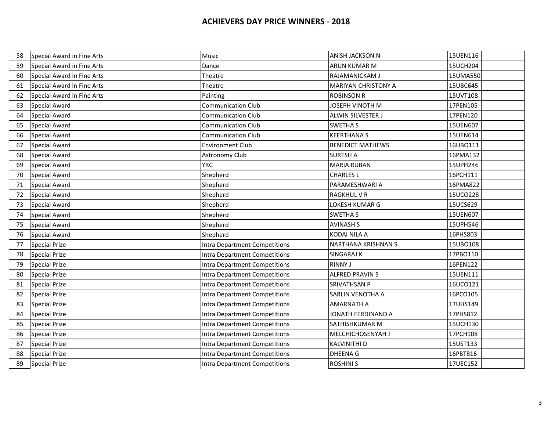| 58 | Special Award in Fine Arts | Music                         | ANISH JACKSON N            | 15UEN116 |
|----|----------------------------|-------------------------------|----------------------------|----------|
| 59 | Special Award in Fine Arts | Dance                         | ARUN KUMAR M               | 15UCH204 |
| 60 | Special Award in Fine Arts | Theatre                       | RAJAMANICKAM J             | 15UMA550 |
| 61 | Special Award in Fine Arts | Theatre                       | <b>MARIYAN CHRISTONY A</b> | 15UBC645 |
| 62 | Special Award in Fine Arts | Painting                      | <b>ROBINSON R</b>          | 15UVT108 |
| 63 | <b>Special Award</b>       | <b>Communication Club</b>     | JOSEPH VINOTH M            | 17PEN105 |
| 64 | <b>Special Award</b>       | <b>Communication Club</b>     | <b>ALWIN SILVESTER J</b>   | 17PEN120 |
| 65 | <b>Special Award</b>       | <b>Communication Club</b>     | <b>SWETHA S</b>            | 15UEN607 |
| 66 | Special Award              | <b>Communication Club</b>     | <b>KEERTHANA S</b>         | 15UEN614 |
| 67 | <b>Special Award</b>       | <b>Environment Club</b>       | <b>BENEDICT MATHEWS</b>    | 16UBO111 |
| 68 | <b>Special Award</b>       | Astronomy Club                | <b>SURESH A</b>            | 16PMA132 |
| 69 | <b>Special Award</b>       | <b>YRC</b>                    | <b>MARIA RUBAN</b>         | 15UPH246 |
| 70 | <b>Special Award</b>       | Shepherd                      | <b>CHARLES L</b>           | 16PCH111 |
| 71 | <b>Special Award</b>       | Shepherd                      | PARAMESHWARI A             | 16PMA822 |
| 72 | <b>Special Award</b>       | Shepherd                      | <b>RAGKHUL V R</b>         | 15UCO228 |
| 73 | <b>Special Award</b>       | Shepherd                      | LOKESH KUMAR G             | 15UCS629 |
| 74 | <b>Special Award</b>       | Shepherd                      | <b>SWETHA S</b>            | 15UEN607 |
| 75 | <b>Special Award</b>       | Shepherd                      | <b>AVINASH S</b>           | 15UPH546 |
| 76 | <b>Special Award</b>       | Shepherd                      | KODAI NILA A               | 16PHS803 |
| 77 | <b>Special Prize</b>       | Intra Department Competitions | <b>NARTHANA KRISHNAN S</b> | 15UBO108 |
| 78 | <b>Special Prize</b>       | Intra Department Competitions | <b>SINGARAJ K</b>          | 17PBO110 |
| 79 | <b>Special Prize</b>       | Intra Department Competitions | <b>RINNY J</b>             | 16PEN122 |
| 80 | <b>Special Prize</b>       | Intra Department Competitions | <b>ALFRED PRAVIN S</b>     | 15UEN111 |
| 81 | <b>Special Prize</b>       | Intra Department Competitions | <b>SRIVATHSAN P</b>        | 16UCO121 |
| 82 | <b>Special Prize</b>       | Intra Department Competitions | SARLIN VENOTHA A           | 16PCO105 |
| 83 | <b>Special Prize</b>       | Intra Department Competitions | <b>AMARNATH A</b>          | 17UHS149 |
| 84 | <b>Special Prize</b>       | Intra Department Competitions | JONATH FERDINAND A         | 17PHS812 |
| 85 | <b>Special Prize</b>       | Intra Department Competitions | SATHISHKUMAR M             | 15UCH130 |
| 86 | <b>Special Prize</b>       | Intra Department Competitions | MELCHICHOSENYAH J          | 17PCH108 |
| 87 | <b>Special Prize</b>       | Intra Department Competitions | <b>KALVINITHI D</b>        | 15UST133 |
| 88 | <b>Special Prize</b>       | Intra Department Competitions | DHEENA G                   | 16PBT816 |
| 89 | <b>Special Prize</b>       | Intra Department Competitions | <b>ROSHINI S</b>           | 17UEC152 |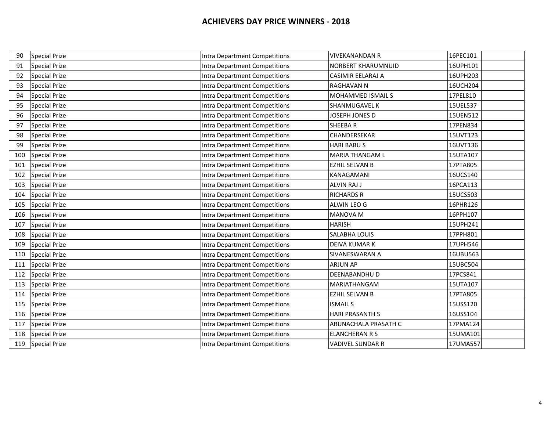| 90  | <b>Special Prize</b> | Intra Department Competitions        | <b>VIVEKANANDAN R</b>    | 16PEC101 |
|-----|----------------------|--------------------------------------|--------------------------|----------|
| 91  | <b>Special Prize</b> | Intra Department Competitions        | NORBERT KHARUMNUID       | 16UPH101 |
| 92  | <b>Special Prize</b> | Intra Department Competitions        | <b>CASIMIR EELARAJ A</b> | 16UPH203 |
| 93  | <b>Special Prize</b> | Intra Department Competitions        | <b>RAGHAVAN N</b>        | 16UCH204 |
| 94  | <b>Special Prize</b> | Intra Department Competitions        | MOHAMMED ISMAIL S        | 17PEL810 |
| 95  | <b>Special Prize</b> | Intra Department Competitions        | SHANMUGAVEL K            | 15UEL537 |
| 96  | <b>Special Prize</b> | Intra Department Competitions        | JOSEPH JONES D           | 15UEN512 |
| 97  | <b>Special Prize</b> | Intra Department Competitions        | <b>SHEEBAR</b>           | 17PEN834 |
| 98  | <b>Special Prize</b> | <b>Intra Department Competitions</b> | CHANDERSEKAR             | 15UVT123 |
| 99  | <b>Special Prize</b> | Intra Department Competitions        | <b>HARI BABUS</b>        | 16UVT136 |
| 100 | <b>Special Prize</b> | Intra Department Competitions        | <b>MARIA THANGAM L</b>   | 15UTA107 |
| 101 | <b>Special Prize</b> | <b>Intra Department Competitions</b> | <b>EZHIL SELVAN B</b>    | 17PTA805 |
| 102 | <b>Special Prize</b> | Intra Department Competitions        | KANAGAMANI               | 16UCS140 |
| 103 | <b>Special Prize</b> | <b>Intra Department Competitions</b> | <b>ALVIN RAJ J</b>       | 16PCA113 |
| 104 | <b>Special Prize</b> | <b>Intra Department Competitions</b> | <b>RICHARDS R</b>        | 15UCS503 |
| 105 | <b>Special Prize</b> | Intra Department Competitions        | ALWIN LEO G              | 16PHR126 |
| 106 | <b>Special Prize</b> | Intra Department Competitions        | MANOVA M                 | 16PPH107 |
| 107 | <b>Special Prize</b> | <b>Intra Department Competitions</b> | <b>HARISH</b>            | 15UPH241 |
| 108 | <b>Special Prize</b> | <b>Intra Department Competitions</b> | SALABHA LOUIS            | 17PPH801 |
| 109 | <b>Special Prize</b> | Intra Department Competitions        | DEIVA KUMAR K            | 17UPH546 |
| 110 | <b>Special Prize</b> | <b>Intra Department Competitions</b> | SIVANESWARAN A           | 16UBU563 |
| 111 | <b>Special Prize</b> | Intra Department Competitions        | <b>ARJUN AP</b>          | 15UBC504 |
| 112 | <b>Special Prize</b> | Intra Department Competitions        | DEENABANDHU D            | 17PCS841 |
| 113 | <b>Special Prize</b> | Intra Department Competitions        | MARIATHANGAM             | 15UTA107 |
| 114 | <b>Special Prize</b> | Intra Department Competitions        | EZHIL SELVAN B           | 17PTA805 |
| 115 | <b>Special Prize</b> | Intra Department Competitions        | <b>ISMAILS</b>           | 15USS120 |
| 116 | <b>Special Prize</b> | Intra Department Competitions        | <b>HARI PRASANTH S</b>   | 16USS104 |
| 117 | <b>Special Prize</b> | Intra Department Competitions        | ARUNACHALA PRASATH C     | 17PMA124 |
| 118 | <b>Special Prize</b> | Intra Department Competitions        | <b>ELANCHERAN R S</b>    | 15UMA101 |
| 119 | <b>Special Prize</b> | Intra Department Competitions        | VADIVEL SUNDAR R         | 17UMA557 |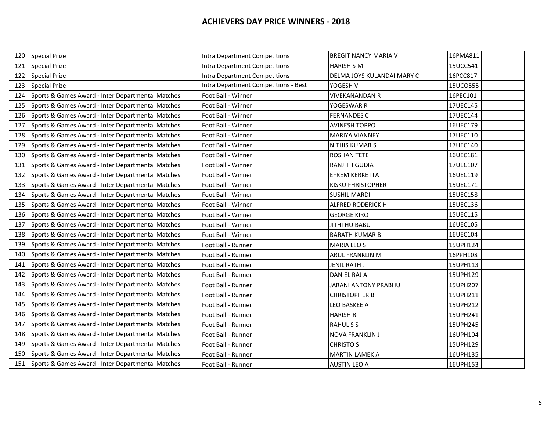| 120 | <b>Special Prize</b>                              | Intra Department Competitions        | <b>BREGIT NANCY MARIA V</b> | 16PMA811 |
|-----|---------------------------------------------------|--------------------------------------|-----------------------------|----------|
| 121 | <b>Special Prize</b>                              | Intra Department Competitions        | <b>HARISH S M</b>           | 15UCC541 |
| 122 | <b>Special Prize</b>                              | Intra Department Competitions        | DELMA JOYS KULANDAI MARY C  | 16PCC817 |
| 123 | <b>Special Prize</b>                              | Intra Department Competitions - Best | YOGESH V                    | 15UCO555 |
| 124 | Sports & Games Award - Inter Departmental Matches | Foot Ball - Winner                   | <b>VIVEKANANDAN R</b>       | 16PEC101 |
| 125 | Sports & Games Award - Inter Departmental Matches | Foot Ball - Winner                   | YOGESWAR R                  | 17UEC145 |
| 126 | Sports & Games Award - Inter Departmental Matches | Foot Ball - Winner                   | <b>FERNANDES C</b>          | 17UEC144 |
| 127 | Sports & Games Award - Inter Departmental Matches | Foot Ball - Winner                   | <b>AVINESH TOPPO</b>        | 16UEC179 |
| 128 | Sports & Games Award - Inter Departmental Matches | Foot Ball - Winner                   | <b>MARIYA VIANNEY</b>       | 17UEC110 |
| 129 | Sports & Games Award - Inter Departmental Matches | Foot Ball - Winner                   | NITHIS KUMAR S              | 17UEC140 |
| 130 | Sports & Games Award - Inter Departmental Matches | Foot Ball - Winner                   | <b>ROSHAN TETE</b>          | 16UEC181 |
| 131 | Sports & Games Award - Inter Departmental Matches | Foot Ball - Winner                   | <b>RANJITH GUDIA</b>        | 17UEC107 |
| 132 | Sports & Games Award - Inter Departmental Matches | Foot Ball - Winner                   | <b>EFREM KERKETTA</b>       | 16UEC119 |
| 133 | Sports & Games Award - Inter Departmental Matches | Foot Ball - Winner                   | <b>KISKU FHRISTOPHER</b>    | 15UEC171 |
| 134 | Sports & Games Award - Inter Departmental Matches | Foot Ball - Winner                   | <b>SUSHIL MARDI</b>         | 15UEC158 |
| 135 | Sports & Games Award - Inter Departmental Matches | Foot Ball - Winner                   | <b>ALFRED RODERICK H</b>    | 15UEC136 |
| 136 | Sports & Games Award - Inter Departmental Matches | Foot Ball - Winner                   | <b>GEORGE KIRO</b>          | 15UEC115 |
| 137 | Sports & Games Award - Inter Departmental Matches | Foot Ball - Winner                   | <b>JITHTHU BABU</b>         | 16UEC105 |
| 138 | Sports & Games Award - Inter Departmental Matches | Foot Ball - Winner                   | <b>BARATH KUMAR B</b>       | 16UEC104 |
| 139 | Sports & Games Award - Inter Departmental Matches | Foot Ball - Runner                   | <b>MARIA LEO S</b>          | 15UPH124 |
| 140 | Sports & Games Award - Inter Departmental Matches | Foot Ball - Runner                   | ARUL FRANKLIN M             | 16PPH108 |
| 141 | Sports & Games Award - Inter Departmental Matches | Foot Ball - Runner                   | JENIL RATH J                | 15UPH113 |
| 142 | Sports & Games Award - Inter Departmental Matches | Foot Ball - Runner                   | DANIEL RAJ A                | 15UPH129 |
| 143 | Sports & Games Award - Inter Departmental Matches | Foot Ball - Runner                   | JARANI ANTONY PRABHU        | 15UPH207 |
| 144 | Sports & Games Award - Inter Departmental Matches | Foot Ball - Runner                   | <b>CHRISTOPHER B</b>        | 15UPH211 |
| 145 | Sports & Games Award - Inter Departmental Matches | Foot Ball - Runner                   | LEO BASKEE A                | 15UPH212 |
| 146 | Sports & Games Award - Inter Departmental Matches | Foot Ball - Runner                   | <b>HARISH R</b>             | 15UPH241 |
| 147 | Sports & Games Award - Inter Departmental Matches | Foot Ball - Runner                   | <b>RAHULSS</b>              | 15UPH245 |
| 148 | Sports & Games Award - Inter Departmental Matches | Foot Ball - Runner                   | <b>NOVA FRANKLIN J</b>      | 16UPH104 |
| 149 | Sports & Games Award - Inter Departmental Matches | Foot Ball - Runner                   | <b>CHRISTO S</b>            | 15UPH129 |
| 150 | Sports & Games Award - Inter Departmental Matches | Foot Ball - Runner                   | <b>MARTIN LAMEK A</b>       | 16UPH135 |
| 151 | Sports & Games Award - Inter Departmental Matches | Foot Ball - Runner                   | <b>AUSTIN LEO A</b>         | 16UPH153 |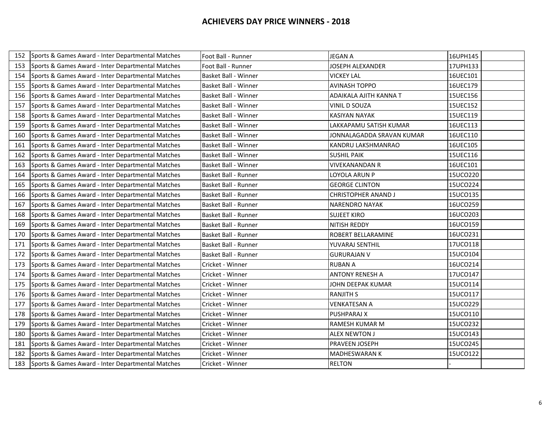| 152 | Sports & Games Award - Inter Departmental Matches | Foot Ball - Runner          | <b>JEGAN A</b>             | 16UPH145 |
|-----|---------------------------------------------------|-----------------------------|----------------------------|----------|
| 153 | Sports & Games Award - Inter Departmental Matches | Foot Ball - Runner          | JOSEPH ALEXANDER           | 17UPH133 |
| 154 | Sports & Games Award - Inter Departmental Matches | <b>Basket Ball - Winner</b> | <b>VICKEY LAL</b>          | 16UEC101 |
| 155 | Sports & Games Award - Inter Departmental Matches | Basket Ball - Winner        | AVINASH TOPPO              | 16UEC179 |
| 156 | Sports & Games Award - Inter Departmental Matches | <b>Basket Ball - Winner</b> | ADAIKALA AJITH KANNA T     | 15UEC156 |
| 157 | Sports & Games Award - Inter Departmental Matches | <b>Basket Ball - Winner</b> | <b>VINIL D SOUZA</b>       | 15UEC152 |
| 158 | Sports & Games Award - Inter Departmental Matches | Basket Ball - Winner        | <b>KASIYAN NAYAK</b>       | 15UEC119 |
| 159 | Sports & Games Award - Inter Departmental Matches | <b>Basket Ball - Winner</b> | LAKKAPAMU SATISH KUMAR     | 16UEC113 |
| 160 | Sports & Games Award - Inter Departmental Matches | <b>Basket Ball - Winner</b> | JONNALAGADDA SRAVAN KUMAR  | 16UEC110 |
| 161 | Sports & Games Award - Inter Departmental Matches | Basket Ball - Winner        | KANDRU LAKSHMANRAO         | 16UEC105 |
| 162 | Sports & Games Award - Inter Departmental Matches | <b>Basket Ball - Winner</b> | <b>SUSHIL PAIK</b>         | 15UEC116 |
| 163 | Sports & Games Award - Inter Departmental Matches | Basket Ball - Winner        | <b>VIVEKANANDAN R</b>      | 16UEC101 |
| 164 | Sports & Games Award - Inter Departmental Matches | Basket Ball - Runner        | LOYOLA ARUN P              | 15UCO220 |
| 165 | Sports & Games Award - Inter Departmental Matches | <b>Basket Ball - Runner</b> | <b>GEORGE CLINTON</b>      | 15UCO224 |
| 166 | Sports & Games Award - Inter Departmental Matches | Basket Ball - Runner        | <b>CHRISTOPHER ANAND J</b> | 15UCO135 |
| 167 | Sports & Games Award - Inter Departmental Matches | Basket Ball - Runner        | <b>NARENDRO NAYAK</b>      | 16UCO259 |
| 168 | Sports & Games Award - Inter Departmental Matches | Basket Ball - Runner        | <b>SUJEET KIRO</b>         | 16UCO203 |
| 169 | Sports & Games Award - Inter Departmental Matches | <b>Basket Ball - Runner</b> | <b>NITISH REDDY</b>        | 16UCO159 |
| 170 | Sports & Games Award - Inter Departmental Matches | Basket Ball - Runner        | <b>ROBERT BELLARAMINE</b>  | 16UCO231 |
| 171 | Sports & Games Award - Inter Departmental Matches | Basket Ball - Runner        | YUVARAJ SENTHIL            | 17UCO118 |
| 172 | Sports & Games Award - Inter Departmental Matches | Basket Ball - Runner        | <b>GURURAJAN V</b>         | 15UCO104 |
| 173 | Sports & Games Award - Inter Departmental Matches | Cricket - Winner            | <b>RUBAN A</b>             | 16UCO214 |
| 174 | Sports & Games Award - Inter Departmental Matches | Cricket - Winner            | <b>ANTONY RENESH A</b>     | 17UCO147 |
| 175 | Sports & Games Award - Inter Departmental Matches | Cricket - Winner            | JOHN DEEPAK KUMAR          | 15UCO114 |
| 176 | Sports & Games Award - Inter Departmental Matches | Cricket - Winner            | <b>RANJITH S</b>           | 15UCO117 |
| 177 | Sports & Games Award - Inter Departmental Matches | Cricket - Winner            | <b>VENKATESAN A</b>        | 15UCO229 |
| 178 | Sports & Games Award - Inter Departmental Matches | Cricket - Winner            | <b>PUSHPARAJ X</b>         | 15UCO110 |
| 179 | Sports & Games Award - Inter Departmental Matches | Cricket - Winner            | <b>RAMESH KUMAR M</b>      | 15UCO232 |
| 180 | Sports & Games Award - Inter Departmental Matches | Cricket - Winner            | <b>ALEX NEWTON J</b>       | 15UCO143 |
| 181 | Sports & Games Award - Inter Departmental Matches | Cricket - Winner            | PRAVEEN JOSEPH             | 15UCO245 |
| 182 | Sports & Games Award - Inter Departmental Matches | Cricket - Winner            | <b>MADHESWARAN K</b>       | 15UCO122 |
| 183 | Sports & Games Award - Inter Departmental Matches | Cricket - Winner            | <b>RELTON</b>              |          |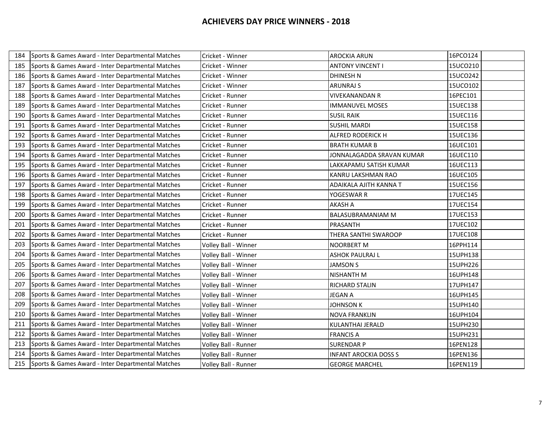| 184 | Sports & Games Award - Inter Departmental Matches | Cricket - Winner     | <b>AROCKIA ARUN</b>          | 16PCO124 |
|-----|---------------------------------------------------|----------------------|------------------------------|----------|
| 185 | Sports & Games Award - Inter Departmental Matches | Cricket - Winner     | <b>ANTONY VINCENT I</b>      | 15UCO210 |
| 186 | Sports & Games Award - Inter Departmental Matches | Cricket - Winner     | <b>DHINESH N</b>             | 15UCO242 |
| 187 | Sports & Games Award - Inter Departmental Matches | Cricket - Winner     | <b>ARUNRAJ S</b>             | 15UCO102 |
| 188 | Sports & Games Award - Inter Departmental Matches | Cricket - Runner     | <b>VIVEKANANDAN R</b>        | 16PEC101 |
| 189 | Sports & Games Award - Inter Departmental Matches | Cricket - Runner     | <b>IMMANUVEL MOSES</b>       | 15UEC138 |
| 190 | Sports & Games Award - Inter Departmental Matches | Cricket - Runner     | <b>SUSIL RAIK</b>            | 15UEC116 |
| 191 | Sports & Games Award - Inter Departmental Matches | Cricket - Runner     | <b>SUSHIL MARDI</b>          | 15UEC158 |
| 192 | Sports & Games Award - Inter Departmental Matches | Cricket - Runner     | <b>ALFRED RODERICK H</b>     | 15UEC136 |
| 193 | Sports & Games Award - Inter Departmental Matches | Cricket - Runner     | <b>BRATH KUMAR B</b>         | 16UEC101 |
| 194 | Sports & Games Award - Inter Departmental Matches | Cricket - Runner     | JONNALAGADDA SRAVAN KUMAR    | 16UEC110 |
| 195 | Sports & Games Award - Inter Departmental Matches | Cricket - Runner     | LAKKAPAMU SATISH KUMAR       | 16UEC113 |
| 196 | Sports & Games Award - Inter Departmental Matches | Cricket - Runner     | KANRU LAKSHMAN RAO           | 16UEC105 |
| 197 | Sports & Games Award - Inter Departmental Matches | Cricket - Runner     | ADAIKALA AJITH KANNA T       | 15UEC156 |
| 198 | Sports & Games Award - Inter Departmental Matches | Cricket - Runner     | YOGESWAR R                   | 17UEC145 |
| 199 | Sports & Games Award - Inter Departmental Matches | Cricket - Runner     | AKASH A                      | 17UEC154 |
| 200 | Sports & Games Award - Inter Departmental Matches | Cricket - Runner     | <b>BALASUBRAMANIAM M</b>     | 17UEC153 |
| 201 | Sports & Games Award - Inter Departmental Matches | Cricket - Runner     | PRASANTH                     | 17UEC102 |
| 202 | Sports & Games Award - Inter Departmental Matches | Cricket - Runner     | THERA SANTHI SWAROOP         | 17UEC108 |
| 203 | Sports & Games Award - Inter Departmental Matches | Volley Ball - Winner | <b>NOORBERT M</b>            | 16PPH114 |
| 204 | Sports & Games Award - Inter Departmental Matches | Volley Ball - Winner | <b>ASHOK PAULRAJ L</b>       | 15UPH138 |
| 205 | Sports & Games Award - Inter Departmental Matches | Volley Ball - Winner | <b>JAMSON S</b>              | 15UPH226 |
| 206 | Sports & Games Award - Inter Departmental Matches | Volley Ball - Winner | <b>NISHANTH M</b>            | 16UPH148 |
| 207 | Sports & Games Award - Inter Departmental Matches | Volley Ball - Winner | <b>RICHARD STALIN</b>        | 17UPH147 |
| 208 | Sports & Games Award - Inter Departmental Matches | Volley Ball - Winner | JEGAN A                      | 16UPH145 |
| 209 | Sports & Games Award - Inter Departmental Matches | Volley Ball - Winner | <b>JOHNSON K</b>             | 15UPH140 |
| 210 | Sports & Games Award - Inter Departmental Matches | Volley Ball - Winner | <b>NOVA FRANKLIN</b>         | 16UPH104 |
| 211 | Sports & Games Award - Inter Departmental Matches | Volley Ball - Winner | <b>KULANTHAI JERALD</b>      | 15UPH230 |
| 212 | Sports & Games Award - Inter Departmental Matches | Volley Ball - Winner | <b>FRANCIS A</b>             | 15UPH231 |
| 213 | Sports & Games Award - Inter Departmental Matches | Volley Ball - Runner | <b>SURENDAR P</b>            | 16PEN128 |
| 214 | Sports & Games Award - Inter Departmental Matches | Volley Ball - Runner | <b>INFANT AROCKIA DOSS S</b> | 16PEN136 |
| 215 | Sports & Games Award - Inter Departmental Matches | Volley Ball - Runner | <b>GEORGE MARCHEL</b>        | 16PEN119 |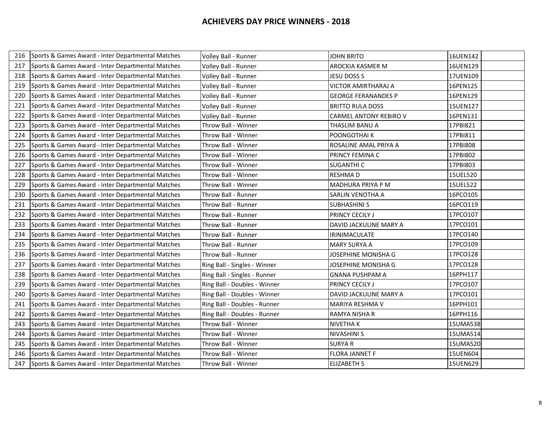| 216 | Sports & Games Award - Inter Departmental Matches | Volley Ball - Runner         | JOHN BRITO                    | 16UEN142 |
|-----|---------------------------------------------------|------------------------------|-------------------------------|----------|
| 217 | Sports & Games Award - Inter Departmental Matches | Volley Ball - Runner         | AROCKIA KASMER M              | 16UEN129 |
| 218 | Sports & Games Award - Inter Departmental Matches | Volley Ball - Runner         | JESU DOSS S                   | 17UEN109 |
| 219 | Sports & Games Award - Inter Departmental Matches | Volley Ball - Runner         | <b>VICTOR AMIRTHARAJ A</b>    | 16PEN125 |
| 220 | Sports & Games Award - Inter Departmental Matches | Volley Ball - Runner         | <b>GEORGE FERANANDES P</b>    | 16PEN129 |
| 221 | Sports & Games Award - Inter Departmental Matches | Volley Ball - Runner         | <b>BRITTO RULA DOSS</b>       | 15UEN127 |
| 222 | Sports & Games Award - Inter Departmental Matches | Volley Ball - Runner         | <b>CARMEL ANTONY REBIRO V</b> | 16PEN131 |
| 223 | Sports & Games Award - Inter Departmental Matches | Throw Ball - Winner          | THASLIM BANU A                | 17PBI821 |
| 224 | Sports & Games Award - Inter Departmental Matches | Throw Ball - Winner          | POONGOTHAI K                  | 17PBI811 |
| 225 | Sports & Games Award - Inter Departmental Matches | Throw Ball - Winner          | ROSALINE AMAL PRIYA A         | 17PBI808 |
| 226 | Sports & Games Award - Inter Departmental Matches | Throw Ball - Winner          | PRINCY FEMINA C               | 17PBI802 |
| 227 | Sports & Games Award - Inter Departmental Matches | Throw Ball - Winner          | <b>SUGANTHI C</b>             | 17PBI803 |
| 228 | Sports & Games Award - Inter Departmental Matches | Throw Ball - Winner          | <b>RESHMAD</b>                | 15UEL520 |
| 229 | Sports & Games Award - Inter Departmental Matches | Throw Ball - Winner          | MADHURA PRIYA P M             | 15UEL522 |
| 230 | Sports & Games Award - Inter Departmental Matches | Throw Ball - Runner          | <b>SARLIN VENOTHA A</b>       | 16PCO105 |
| 231 | Sports & Games Award - Inter Departmental Matches | Throw Ball - Runner          | <b>SUBHASHINI S</b>           | 16PCO119 |
| 232 | Sports & Games Award - Inter Departmental Matches | Throw Ball - Runner          | <b>PRINCY CECILY J</b>        | 17PCO107 |
| 233 | Sports & Games Award - Inter Departmental Matches | Throw Ball - Runner          | DAVID JACKULINE MARY A        | 17PCO101 |
| 234 | Sports & Games Award - Inter Departmental Matches | Throw Ball - Runner          | <b>IRINIMACULATE</b>          | 17PCO140 |
| 235 | Sports & Games Award - Inter Departmental Matches | Throw Ball - Runner          | <b>MARY SURYA A</b>           | 17PCO109 |
| 236 | Sports & Games Award - Inter Departmental Matches | Throw Ball - Runner          | JOSEPHINE MONISHA G           | 17PCO128 |
| 237 | Sports & Games Award - Inter Departmental Matches | Ring Ball - Singles - Winner | JOSEPHINE MONISHA G           | 17PCO128 |
| 238 | Sports & Games Award - Inter Departmental Matches | Ring Ball - Singles - Runner | <b>GNANA PUSHPAM A</b>        | 16PPH117 |
| 239 | Sports & Games Award - Inter Departmental Matches | Ring Ball - Doubles - Winner | PRINCY CECILY J               | 17PCO107 |
| 240 | Sports & Games Award - Inter Departmental Matches | Ring Ball - Doubles - Winner | DAVID JACKULINE MARY A        | 17PCO101 |
| 241 | Sports & Games Award - Inter Departmental Matches | Ring Ball - Doubles - Runner | <b>MARIYA RESHMA V</b>        | 16PPH101 |
| 242 | Sports & Games Award - Inter Departmental Matches | Ring Ball - Doubles - Runner | RAMYA NISHA R                 | 16PPH116 |
| 243 | Sports & Games Award - Inter Departmental Matches | Throw Ball - Winner          | <b>NIVETHAK</b>               | 15UMA538 |
| 244 | Sports & Games Award - Inter Departmental Matches | Throw Ball - Winner          | <b>NIVASHINI S</b>            | 15UMA514 |
| 245 | Sports & Games Award - Inter Departmental Matches | Throw Ball - Winner          | <b>SURYAR</b>                 | 15UMA520 |
| 246 | Sports & Games Award - Inter Departmental Matches | Throw Ball - Winner          | <b>FLORA JANNET F</b>         | 15UEN604 |
| 247 | Sports & Games Award - Inter Departmental Matches | Throw Ball - Winner          | <b>ELIZABETH S</b>            | 15UEN629 |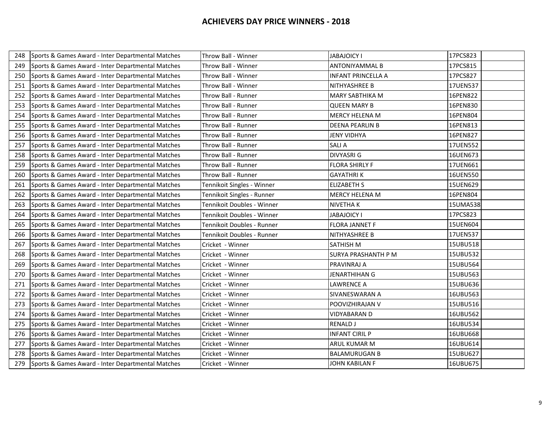| 248 | Sports & Games Award - Inter Departmental Matches | Throw Ball - Winner        | <b>JABAJOICY I</b>         | 17PCS823 |
|-----|---------------------------------------------------|----------------------------|----------------------------|----------|
| 249 | Sports & Games Award - Inter Departmental Matches | Throw Ball - Winner        | <b>ANTONIYAMMAL B</b>      | 17PCS815 |
| 250 | Sports & Games Award - Inter Departmental Matches | Throw Ball - Winner        | <b>INFANT PRINCELLA A</b>  | 17PCS827 |
| 251 | Sports & Games Award - Inter Departmental Matches | Throw Ball - Winner        | NITHYASHREE B              | 17UEN537 |
| 252 | Sports & Games Award - Inter Departmental Matches | Throw Ball - Runner        | <b>MARY SABTHIKA M</b>     | 16PEN822 |
| 253 | Sports & Games Award - Inter Departmental Matches | Throw Ball - Runner        | <b>QUEEN MARY B</b>        | 16PEN830 |
| 254 | Sports & Games Award - Inter Departmental Matches | Throw Ball - Runner        | <b>MERCY HELENA M</b>      | 16PEN804 |
| 255 | Sports & Games Award - Inter Departmental Matches | Throw Ball - Runner        | <b>DEENA PEARLIN B</b>     | 16PEN813 |
| 256 | Sports & Games Award - Inter Departmental Matches | Throw Ball - Runner        | <b>JENY VIDHYA</b>         | 16PEN827 |
| 257 | Sports & Games Award - Inter Departmental Matches | Throw Ball - Runner        | <b>SALIA</b>               | 17UEN552 |
| 258 | Sports & Games Award - Inter Departmental Matches | Throw Ball - Runner        | <b>DIVYASRI G</b>          | 16UEN673 |
| 259 | Sports & Games Award - Inter Departmental Matches | Throw Ball - Runner        | <b>FLORA SHIRLY F</b>      | 17UEN661 |
| 260 | Sports & Games Award - Inter Departmental Matches | Throw Ball - Runner        | <b>GAYATHRIK</b>           | 16UEN550 |
| 261 | Sports & Games Award - Inter Departmental Matches | Tennikoit Singles - Winner | <b>ELIZABETH S</b>         | 15UEN629 |
| 262 | Sports & Games Award - Inter Departmental Matches | Tennikoit Singles - Runner | <b>MERCY HELENA M</b>      | 16PEN804 |
| 263 | Sports & Games Award - Inter Departmental Matches | Tennikoit Doubles - Winner | <b>NIVETHAK</b>            | 15UMA538 |
| 264 | Sports & Games Award - Inter Departmental Matches | Tennikoit Doubles - Winner | <b>JABAJOICY I</b>         | 17PCS823 |
| 265 | Sports & Games Award - Inter Departmental Matches | Tennikoit Doubles - Runner | <b>FLORA JANNET F</b>      | 15UEN604 |
| 266 | Sports & Games Award - Inter Departmental Matches | Tennikoit Doubles - Runner | NITHYASHREE B              | 17UEN537 |
| 267 | Sports & Games Award - Inter Departmental Matches | Cricket - Winner           | SATHISH M                  | 15UBU518 |
| 268 | Sports & Games Award - Inter Departmental Matches | Cricket - Winner           | <b>SURYA PRASHANTH P M</b> | 15UBU532 |
| 269 | Sports & Games Award - Inter Departmental Matches | Cricket - Winner           | <b>PRAVINRAJ A</b>         | 15UBU564 |
| 270 | Sports & Games Award - Inter Departmental Matches | Cricket - Winner           | <b>JENARTHIHAN G</b>       | 15UBU563 |
| 271 | Sports & Games Award - Inter Departmental Matches | Cricket - Winner           | <b>LAWRENCE A</b>          | 15UBU636 |
| 272 | Sports & Games Award - Inter Departmental Matches | Cricket - Winner           | SIVANESWARAN A             | 16UBU563 |
| 273 | Sports & Games Award - Inter Departmental Matches | Cricket - Winner           | POOVIZHIRAJAN V            | 15UBU516 |
| 274 | Sports & Games Award - Inter Departmental Matches | Cricket - Winner           | <b>VIDYABARAN D</b>        | 16UBU562 |
| 275 | Sports & Games Award - Inter Departmental Matches | Cricket - Winner           | <b>RENALD J</b>            | 16UBU534 |
| 276 | Sports & Games Award - Inter Departmental Matches | Cricket - Winner           | <b>INFANT CIRIL P</b>      | 16UBU668 |
| 277 | Sports & Games Award - Inter Departmental Matches | Cricket - Winner           | <b>ARUL KUMAR M</b>        | 16UBU614 |
| 278 | Sports & Games Award - Inter Departmental Matches | Cricket - Winner           | <b>BALAMURUGAN B</b>       | 15UBU627 |
| 279 | Sports & Games Award - Inter Departmental Matches | Cricket - Winner           | JOHN KABILAN F             | 16UBU675 |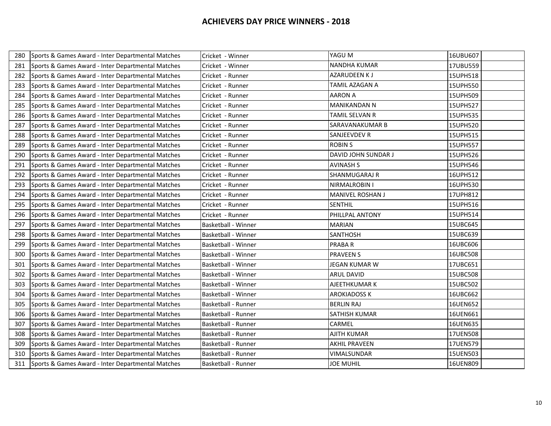| 280 | Sports & Games Award - Inter Departmental Matches | Cricket - Winner           | YAGU M                  | 16UBU607 |
|-----|---------------------------------------------------|----------------------------|-------------------------|----------|
| 281 | Sports & Games Award - Inter Departmental Matches | Cricket - Winner           | <b>NANDHA KUMAR</b>     | 17UBU559 |
| 282 | Sports & Games Award - Inter Departmental Matches | Cricket - Runner           | <b>AZARUDEEN KJ</b>     | 15UPH518 |
| 283 | Sports & Games Award - Inter Departmental Matches | Cricket - Runner           | TAMIL AZAGAN A          | 15UPH550 |
| 284 | Sports & Games Award - Inter Departmental Matches | Cricket - Runner           | <b>AARON A</b>          | 15UPH509 |
| 285 | Sports & Games Award - Inter Departmental Matches | Cricket - Runner           | <b>MANIKANDAN N</b>     | 15UPH527 |
| 286 | Sports & Games Award - Inter Departmental Matches | Cricket - Runner           | TAMIL SELVAN R          | 15UPH535 |
| 287 | Sports & Games Award - Inter Departmental Matches | Cricket - Runner           | <b>SARAVANAKUMAR B</b>  | 15UPH520 |
| 288 | Sports & Games Award - Inter Departmental Matches | Cricket - Runner           | <b>SANJEEVDEV R</b>     | 15UPH515 |
| 289 | Sports & Games Award - Inter Departmental Matches | Cricket - Runner           | <b>ROBIN S</b>          | 15UPH557 |
| 290 | Sports & Games Award - Inter Departmental Matches | Cricket - Runner           | DAVID JOHN SUNDAR J     | 15UPH526 |
| 291 | Sports & Games Award - Inter Departmental Matches | Cricket - Runner           | <b>AVINASH S</b>        | 15UPH546 |
| 292 | Sports & Games Award - Inter Departmental Matches | Cricket - Runner           | <b>SHANMUGARAJ R</b>    | 16UPH512 |
| 293 | Sports & Games Award - Inter Departmental Matches | Cricket - Runner           | NIRMALROBIN I           | 16UPH530 |
| 294 | Sports & Games Award - Inter Departmental Matches | Cricket - Runner           | <b>MANIVEL ROSHAN J</b> | 17UPH812 |
| 295 | Sports & Games Award - Inter Departmental Matches | Cricket - Runner           | <b>SENTHIL</b>          | 15UPH516 |
| 296 | Sports & Games Award - Inter Departmental Matches | Cricket - Runner           | PHILLPAL ANTONY         | 15UPH514 |
| 297 | Sports & Games Award - Inter Departmental Matches | <b>Basketball - Winner</b> | <b>MARIAN</b>           | 15UBC645 |
| 298 | Sports & Games Award - Inter Departmental Matches | Basketball - Winner        | <b>SANTHOSH</b>         | 15UBC639 |
| 299 | Sports & Games Award - Inter Departmental Matches | <b>Basketball - Winner</b> | <b>PRABAR</b>           | 16UBC606 |
| 300 | Sports & Games Award - Inter Departmental Matches | Basketball - Winner        | <b>PRAVEEN S</b>        | 16UBC508 |
| 301 | Sports & Games Award - Inter Departmental Matches | Basketball - Winner        | JEGAN KUMAR W           | 17UBC651 |
| 302 | Sports & Games Award - Inter Departmental Matches | Basketball - Winner        | <b>ARUL DAVID</b>       | 15UBC508 |
| 303 | Sports & Games Award - Inter Departmental Matches | Basketball - Winner        | AJEETHKUMAR K           | 15UBC502 |
| 304 | Sports & Games Award - Inter Departmental Matches | Basketball - Winner        | <b>AROKIADOSS K</b>     | 16UBC662 |
| 305 | Sports & Games Award - Inter Departmental Matches | Basketball - Runner        | <b>BERLIN RAJ</b>       | 16UEN652 |
| 306 | Sports & Games Award - Inter Departmental Matches | Basketball - Runner        | <b>SATHISH KUMAR</b>    | 16UEN661 |
| 307 | Sports & Games Award - Inter Departmental Matches | Basketball - Runner        | CARMEL                  | 16UEN635 |
| 308 | Sports & Games Award - Inter Departmental Matches | Basketball - Runner        | <b>AJITH KUMAR</b>      | 17UEN508 |
| 309 | Sports & Games Award - Inter Departmental Matches | Basketball - Runner        | <b>AKHIL PRAVEEN</b>    | 17UEN579 |
| 310 | Sports & Games Award - Inter Departmental Matches | Basketball - Runner        | VIMALSUNDAR             | 15UEN503 |
| 311 | Sports & Games Award - Inter Departmental Matches | Basketball - Runner        | <b>JOE MUHIL</b>        | 16UEN809 |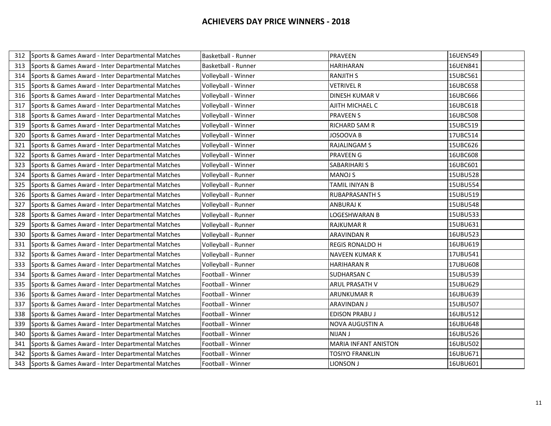| 312 | Sports & Games Award - Inter Departmental Matches | Basketball - Runner | <b>PRAVEEN</b>              | 16UEN549 |
|-----|---------------------------------------------------|---------------------|-----------------------------|----------|
| 313 | Sports & Games Award - Inter Departmental Matches | Basketball - Runner | <b>HARIHARAN</b>            | 16UEN841 |
| 314 | Sports & Games Award - Inter Departmental Matches | Volleyball - Winner | <b>RANJITH S</b>            | 15UBC561 |
| 315 | Sports & Games Award - Inter Departmental Matches | Volleyball - Winner | <b>VETRIVEL R</b>           | 16UBC658 |
| 316 | Sports & Games Award - Inter Departmental Matches | Volleyball - Winner | DINESH KUMAR V              | 16UBC666 |
| 317 | Sports & Games Award - Inter Departmental Matches | Volleyball - Winner | AJITH MICHAEL C             | 16UBC618 |
| 318 | Sports & Games Award - Inter Departmental Matches | Volleyball - Winner | <b>PRAVEEN S</b>            | 16UBC508 |
| 319 | Sports & Games Award - Inter Departmental Matches | Volleyball - Winner | RICHARD SAM R               | 15UBC519 |
| 320 | Sports & Games Award - Inter Departmental Matches | Volleyball - Winner | JOSOOVA B                   | 17UBC514 |
| 321 | Sports & Games Award - Inter Departmental Matches | Volleyball - Winner | <b>RAJALINGAM S</b>         | 15UBC626 |
| 322 | Sports & Games Award - Inter Departmental Matches | Volleyball - Winner | <b>PRAVEEN G</b>            | 16UBC608 |
| 323 | Sports & Games Award - Inter Departmental Matches | Volleyball - Winner | <b>SABARIHARI S</b>         | 16UBC601 |
| 324 | Sports & Games Award - Inter Departmental Matches | Volleyball - Runner | <b>MANOJ S</b>              | 15UBU528 |
| 325 | Sports & Games Award - Inter Departmental Matches | Volleyball - Runner | TAMIL INIYAN B              | 15UBU554 |
| 326 | Sports & Games Award - Inter Departmental Matches | Volleyball - Runner | <b>RUBAPRASANTH S</b>       | 15UBU519 |
| 327 | Sports & Games Award - Inter Departmental Matches | Volleyball - Runner | <b>ANBURAJ K</b>            | 15UBU548 |
| 328 | Sports & Games Award - Inter Departmental Matches | Volleyball - Runner | LOGESHWARAN B               | 15UBU533 |
| 329 | Sports & Games Award - Inter Departmental Matches | Volleyball - Runner | <b>RAJKUMAR R</b>           | 15UBU631 |
| 330 | Sports & Games Award - Inter Departmental Matches | Volleyball - Runner | ARAVINDAN R                 | 16UBU523 |
| 331 | Sports & Games Award - Inter Departmental Matches | Volleyball - Runner | <b>REGIS RONALDO H</b>      | 16UBU619 |
| 332 | Sports & Games Award - Inter Departmental Matches | Volleyball - Runner | <b>NAVEEN KUMAR K</b>       | 17UBU541 |
| 333 | Sports & Games Award - Inter Departmental Matches | Volleyball - Runner | <b>HARIHARAN R</b>          | 17UBU608 |
| 334 | Sports & Games Award - Inter Departmental Matches | Football - Winner   | <b>SUDHARSAN C</b>          | 15UBU539 |
| 335 | Sports & Games Award - Inter Departmental Matches | Football - Winner   | ARUL PRASATH V              | 15UBU629 |
| 336 | Sports & Games Award - Inter Departmental Matches | Football - Winner   | ARUNKUMAR R                 | 16UBU639 |
| 337 | Sports & Games Award - Inter Departmental Matches | Football - Winner   | <b>ARAVINDAN J</b>          | 15UBU507 |
| 338 | Sports & Games Award - Inter Departmental Matches | Football - Winner   | <b>EDISON PRABUJ</b>        | 16UBU512 |
| 339 | Sports & Games Award - Inter Departmental Matches | Football - Winner   | NOVA AUGUSTIN A             | 16UBU648 |
| 340 | Sports & Games Award - Inter Departmental Matches | Football - Winner   | <b>NIJAN J</b>              | 16UBU526 |
| 341 | Sports & Games Award - Inter Departmental Matches | Football - Winner   | <b>MARIA INFANT ANISTON</b> | 16UBU502 |
| 342 | Sports & Games Award - Inter Departmental Matches | Football - Winner   | <b>TOSIYO FRANKLIN</b>      | 16UBU671 |
| 343 | Sports & Games Award - Inter Departmental Matches | Football - Winner   | LIONSON J                   | 16UBU601 |